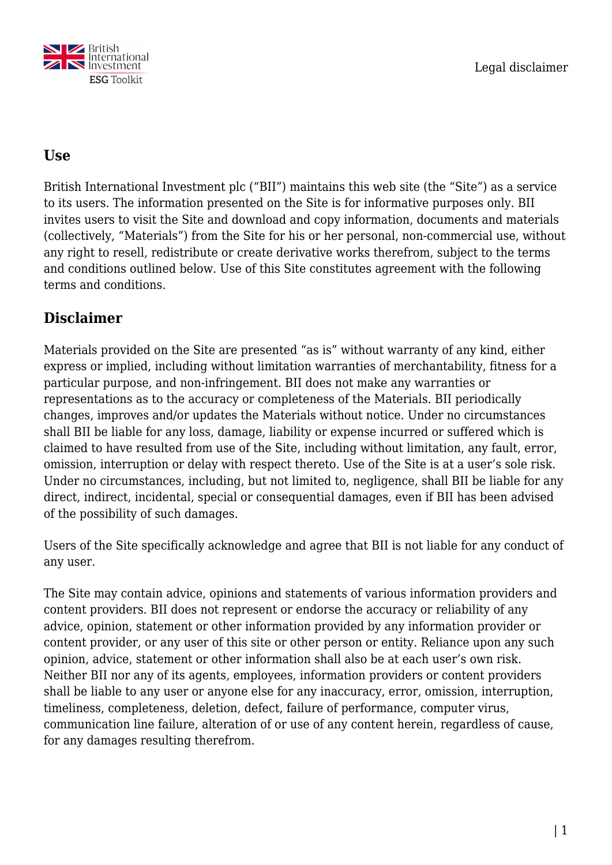

#### **Use**

British International Investment plc ("BII") maintains this web site (the "Site") as a service to its users. The information presented on the Site is for informative purposes only. BII invites users to visit the Site and download and copy information, documents and materials (collectively, "Materials") from the Site for his or her personal, non-commercial use, without any right to resell, redistribute or create derivative works therefrom, subject to the terms and conditions outlined below. Use of this Site constitutes agreement with the following terms and conditions.

## **Disclaimer**

Materials provided on the Site are presented "as is" without warranty of any kind, either express or implied, including without limitation warranties of merchantability, fitness for a particular purpose, and non-infringement. BII does not make any warranties or representations as to the accuracy or completeness of the Materials. BII periodically changes, improves and/or updates the Materials without notice. Under no circumstances shall BII be liable for any loss, damage, liability or expense incurred or suffered which is claimed to have resulted from use of the Site, including without limitation, any fault, error, omission, interruption or delay with respect thereto. Use of the Site is at a user's sole risk. Under no circumstances, including, but not limited to, negligence, shall BII be liable for any direct, indirect, incidental, special or consequential damages, even if BII has been advised of the possibility of such damages.

Users of the Site specifically acknowledge and agree that BII is not liable for any conduct of any user.

The Site may contain advice, opinions and statements of various information providers and content providers. BII does not represent or endorse the accuracy or reliability of any advice, opinion, statement or other information provided by any information provider or content provider, or any user of this site or other person or entity. Reliance upon any such opinion, advice, statement or other information shall also be at each user's own risk. Neither BII nor any of its agents, employees, information providers or content providers shall be liable to any user or anyone else for any inaccuracy, error, omission, interruption, timeliness, completeness, deletion, defect, failure of performance, computer virus, communication line failure, alteration of or use of any content herein, regardless of cause, for any damages resulting therefrom.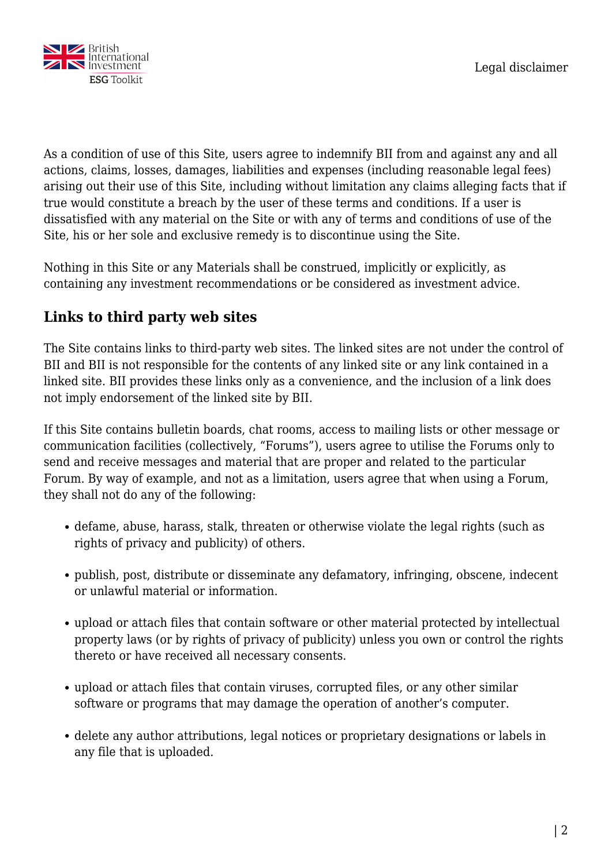

As a condition of use of this Site, users agree to indemnify BII from and against any and all actions, claims, losses, damages, liabilities and expenses (including reasonable legal fees) arising out their use of this Site, including without limitation any claims alleging facts that if true would constitute a breach by the user of these terms and conditions. If a user is dissatisfied with any material on the Site or with any of terms and conditions of use of the Site, his or her sole and exclusive remedy is to discontinue using the Site.

Nothing in this Site or any Materials shall be construed, implicitly or explicitly, as containing any investment recommendations or be considered as investment advice.

# **Links to third party web sites**

The Site contains links to third-party web sites. The linked sites are not under the control of BII and BII is not responsible for the contents of any linked site or any link contained in a linked site. BII provides these links only as a convenience, and the inclusion of a link does not imply endorsement of the linked site by BII.

If this Site contains bulletin boards, chat rooms, access to mailing lists or other message or communication facilities (collectively, "Forums"), users agree to utilise the Forums only to send and receive messages and material that are proper and related to the particular Forum. By way of example, and not as a limitation, users agree that when using a Forum, they shall not do any of the following:

- defame, abuse, harass, stalk, threaten or otherwise violate the legal rights (such as rights of privacy and publicity) of others.
- publish, post, distribute or disseminate any defamatory, infringing, obscene, indecent or unlawful material or information.
- upload or attach files that contain software or other material protected by intellectual property laws (or by rights of privacy of publicity) unless you own or control the rights thereto or have received all necessary consents.
- upload or attach files that contain viruses, corrupted files, or any other similar software or programs that may damage the operation of another's computer.
- delete any author attributions, legal notices or proprietary designations or labels in any file that is uploaded.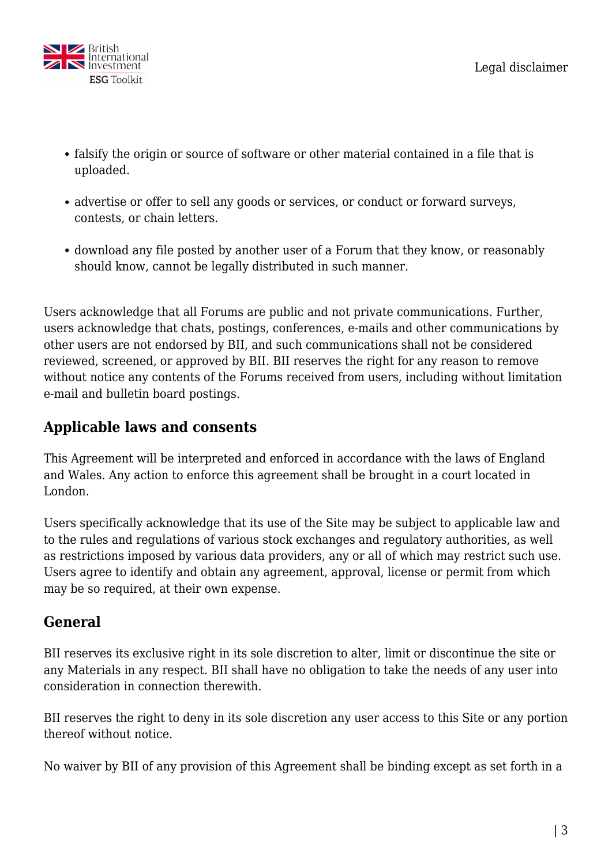

- falsify the origin or source of software or other material contained in a file that is uploaded.
- advertise or offer to sell any goods or services, or conduct or forward surveys, contests, or chain letters.
- download any file posted by another user of a Forum that they know, or reasonably should know, cannot be legally distributed in such manner.

Users acknowledge that all Forums are public and not private communications. Further, users acknowledge that chats, postings, conferences, e-mails and other communications by other users are not endorsed by BII, and such communications shall not be considered reviewed, screened, or approved by BII. BII reserves the right for any reason to remove without notice any contents of the Forums received from users, including without limitation e-mail and bulletin board postings.

## **Applicable laws and consents**

This Agreement will be interpreted and enforced in accordance with the laws of England and Wales. Any action to enforce this agreement shall be brought in a court located in London.

Users specifically acknowledge that its use of the Site may be subject to applicable law and to the rules and regulations of various stock exchanges and regulatory authorities, as well as restrictions imposed by various data providers, any or all of which may restrict such use. Users agree to identify and obtain any agreement, approval, license or permit from which may be so required, at their own expense.

## **General**

BII reserves its exclusive right in its sole discretion to alter, limit or discontinue the site or any Materials in any respect. BII shall have no obligation to take the needs of any user into consideration in connection therewith.

BII reserves the right to deny in its sole discretion any user access to this Site or any portion thereof without notice.

No waiver by BII of any provision of this Agreement shall be binding except as set forth in a